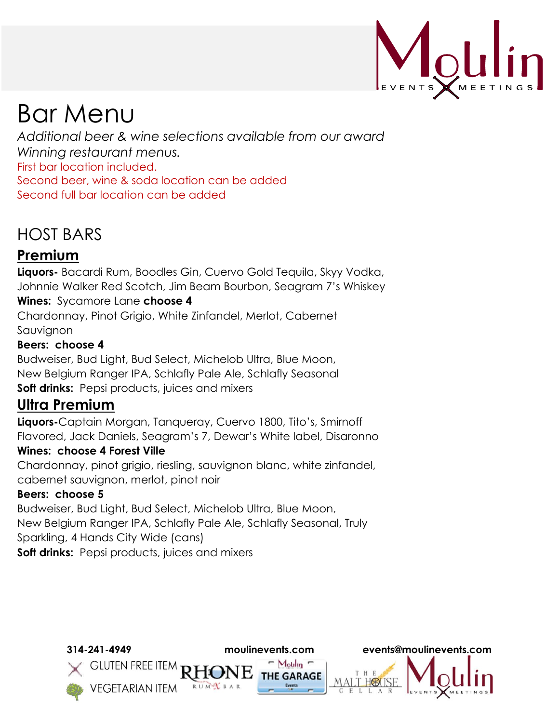

# Bar Menu

*Additional beer & wine selections available from our award Winning restaurant menus.* First bar location included. Second beer, wine & soda location can be added Second full bar location can be added

# HOST BARS

# **Premium**

**Liquors-** Bacardi Rum, Boodles Gin, Cuervo Gold Tequila, Skyy Vodka, Johnnie Walker Red Scotch, Jim Beam Bourbon, Seagram 7's Whiskey

### **Wines:** Sycamore Lane **choose 4**

Chardonnay, Pinot Grigio, White Zinfandel, Merlot, Cabernet Sauvignon

### **Beers: choose 4**

Budweiser, Bud Light, Bud Select, Michelob Ultra, Blue Moon, New Belgium Ranger IPA, Schlafly Pale Ale, Schlafly Seasonal **Soft drinks:** Pepsi products, juices and mixers

# **Ultra Premium**

**Liquors-**Captain Morgan, Tanqueray, Cuervo 1800, Tito's, Smirnoff Flavored, Jack Daniels, Seagram's 7, Dewar's White label, Disaronno

### **Wines: choose 4 Forest Ville**

Chardonnay, pinot grigio, riesling, sauvignon blanc, white zinfandel, cabernet sauvignon, merlot, pinot noir

### **Beers: choose 5**

Budweiser, Bud Light, Bud Select, Michelob Ultra, Blue Moon, New Belgium Ranger IPA, Schlafly Pale Ale, Schlafly Seasonal, Truly Sparkling, 4 Hands City Wide (cans) **Soft drinks:** Pepsi products, juices and mixers

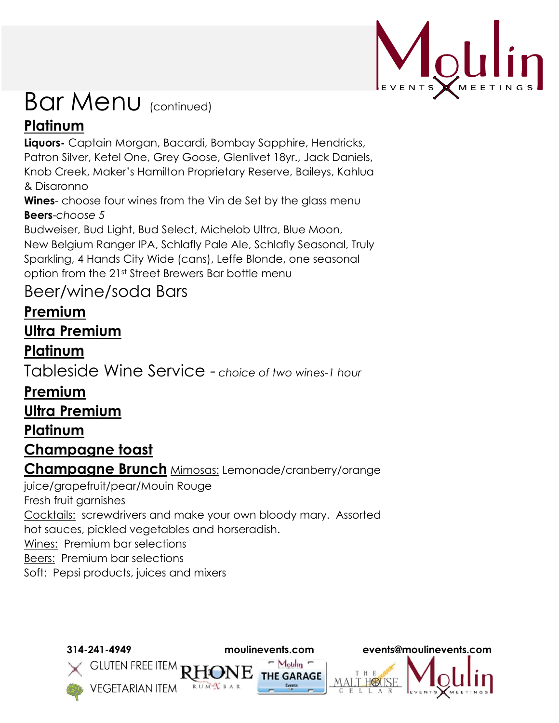

# Bar Menu (continued) **Platinum**

**Liquors-** Captain Morgan, Bacardi, Bombay Sapphire, Hendricks, Patron Silver, Ketel One, Grey Goose, Glenlivet 18yr., Jack Daniels, Knob Creek, Maker's Hamilton Proprietary Reserve, Baileys, Kahlua & Disaronno

**Wines**- choose four wines from the Vin de Set by the glass menu **Beers**-*choose 5*

Budweiser, Bud Light, Bud Select, Michelob Ultra, Blue Moon, New Belgium Ranger IPA, Schlafly Pale Ale, Schlafly Seasonal, Truly Sparkling, 4 Hands City Wide (cans), Leffe Blonde, one seasonal option from the 21st Street Brewers Bar bottle menu

# Beer/wine/soda Bars

# **Premium**

# **Ultra Premium**

**Platinum** 

Tableside Wine Service - *choice of two wines-1 hour* 

# **Premium**

**Ultra Premium**

# **Platinum**

# **Champagne toast**

**Champagne Brunch** Mimosas: Lemonade/cranberry/orange

juice/grapefruit/pear/Mouin Rouge

Fresh fruit garnishes

Cocktails: screwdrivers and make your own bloody mary. Assorted hot sauces, pickled vegetables and horseradish.

Wines: Premium bar selections

Beers: Premium bar selections

Soft: Pepsi products, juices and mixers